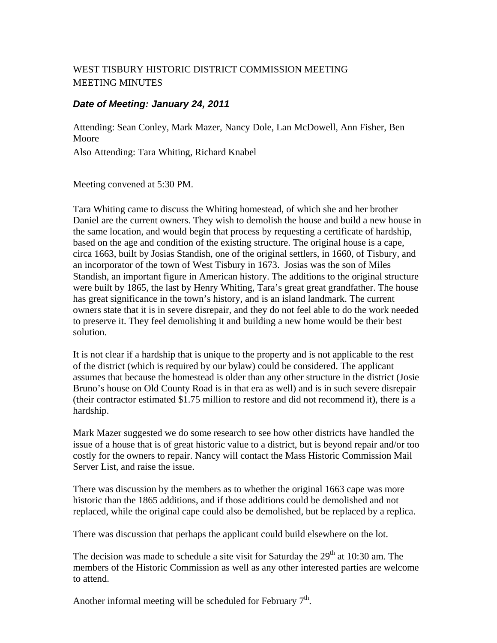## WEST TISBURY HISTORIC DISTRICT COMMISSION MEETING MEETING MINUTES

## *Date of Meeting: January 24, 2011*

Attending: Sean Conley, Mark Mazer, Nancy Dole, Lan McDowell, Ann Fisher, Ben Moore Also Attending: Tara Whiting, Richard Knabel

Meeting convened at 5:30 PM.

Tara Whiting came to discuss the Whiting homestead, of which she and her brother Daniel are the current owners. They wish to demolish the house and build a new house in the same location, and would begin that process by requesting a certificate of hardship, based on the age and condition of the existing structure. The original house is a cape, circa 1663, built by Josias Standish, one of the original settlers, in 1660, of Tisbury, and an incorporator of the town of West Tisbury in 1673. Josias was the son of Miles Standish, an important figure in American history. The additions to the original structure were built by 1865, the last by Henry Whiting, Tara's great great grandfather. The house has great significance in the town's history, and is an island landmark. The current owners state that it is in severe disrepair, and they do not feel able to do the work needed to preserve it. They feel demolishing it and building a new home would be their best solution.

It is not clear if a hardship that is unique to the property and is not applicable to the rest of the district (which is required by our bylaw) could be considered. The applicant assumes that because the homestead is older than any other structure in the district (Josie Bruno's house on Old County Road is in that era as well) and is in such severe disrepair (their contractor estimated \$1.75 million to restore and did not recommend it), there is a hardship.

Mark Mazer suggested we do some research to see how other districts have handled the issue of a house that is of great historic value to a district, but is beyond repair and/or too costly for the owners to repair. Nancy will contact the Mass Historic Commission Mail Server List, and raise the issue.

There was discussion by the members as to whether the original 1663 cape was more historic than the 1865 additions, and if those additions could be demolished and not replaced, while the original cape could also be demolished, but be replaced by a replica.

There was discussion that perhaps the applicant could build elsewhere on the lot.

The decision was made to schedule a site visit for Saturday the  $29<sup>th</sup>$  at 10:30 am. The members of the Historic Commission as well as any other interested parties are welcome to attend.

Another informal meeting will be scheduled for February  $7<sup>th</sup>$ .